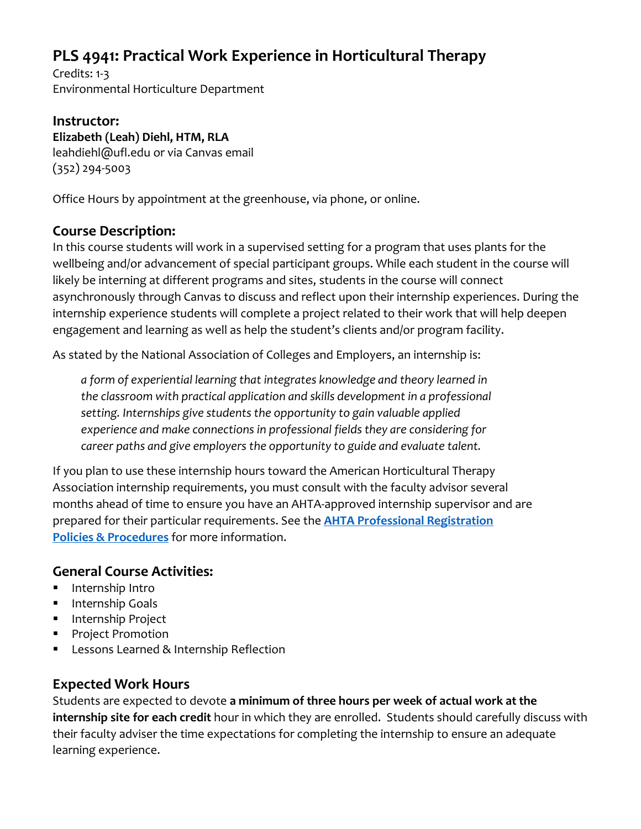# **PLS 4941: Practical Work Experience in Horticultural Therapy**

Credits: 1-3 Environmental Horticulture Department

#### **Instructor: Elizabeth (Leah) Diehl, HTM, RLA**

leahdiehl@ufl.edu or via Canvas email (352) 294-5003

Office Hours by appointment at the greenhouse, via phone, or online.

### **Course Description:**

In this course students will work in a supervised setting for a program that uses plants for the wellbeing and/or advancement of special participant groups. While each student in the course will likely be interning at different programs and sites, students in the course will connect asynchronously through Canvas to discuss and reflect upon their internship experiences. During the internship experience students will complete a project related to their work that will help deepen engagement and learning as well as help the student's clients and/or program facility.

As stated by the National Association of Colleges and Employers, an internship is:

*a form of experiential learning that integrates knowledge and theory learned in the classroom with practical application and skills development in a professional setting. Internships give students the opportunity to gain valuable applied experience and make connections in professional fields they are considering for career paths and give employers the opportunity to guide and evaluate talent.*

If you plan to use these internship hours toward the American Horticultural Therapy Association internship requirements, you must consult with the faculty advisor several months ahead of time to ensure you have an AHTA-approved internship supervisor and are prepared for their particular requirements. See the **[AHTA Professional Registration](https://www.ahta.org/professional-registration-policies-and-procedures)  [Policies & Procedures](https://www.ahta.org/professional-registration-policies-and-procedures)** for more information.

## **General Course Activities:**

- **·** Internship Intro
- **·** Internship Goals
- Internship Project
- Project Promotion
- Lessons Learned & Internship Reflection

## **Expected Work Hours**

Students are expected to devote **a minimum of three hours per week of actual work at the internship site for each credit** hour in which they are enrolled. Students should carefully discuss with their faculty adviser the time expectations for completing the internship to ensure an adequate learning experience.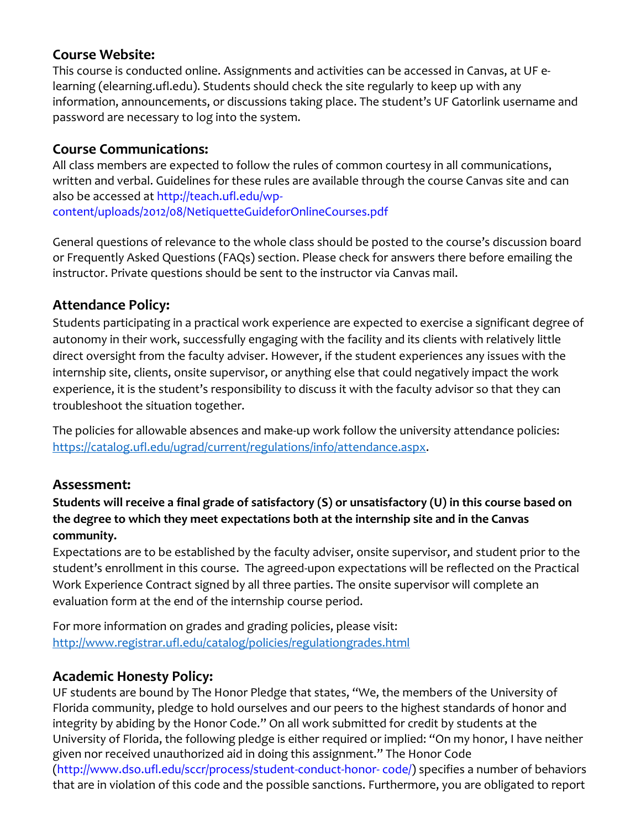#### **Course Website:**

This course is conducted online. Assignments and activities can be accessed in Canvas, at UF elearning (elearning.ufl.edu). Students should check the site regularly to keep up with any information, announcements, or discussions taking place. The student's UF Gatorlink username and password are necessary to log into the system.

#### **Course Communications:**

All class members are expected to follow the rules of common courtesy in all communications, written and verbal. Guidelines for these rules are available through the course Canvas site and can also be accessed at http://teach.ufl.edu/wpcontent/uploads/2012/08/NetiquetteGuideforOnlineCourses.pdf

General questions of relevance to the whole class should be posted to the course's discussion board or Frequently Asked Questions (FAQs) section. Please check for answers there before emailing the instructor. Private questions should be sent to the instructor via Canvas mail.

#### **Attendance Policy:**

Students participating in a practical work experience are expected to exercise a significant degree of autonomy in their work, successfully engaging with the facility and its clients with relatively little direct oversight from the faculty adviser. However, if the student experiences any issues with the internship site, clients, onsite supervisor, or anything else that could negatively impact the work experience, it is the student's responsibility to discuss it with the faculty advisor so that they can troubleshoot the situation together.

The policies for allowable absences and make-up work follow the university attendance policies: [https://catalog.ufl.edu/ugrad/current/regulations/info/attendance.aspx.](https://catalog.ufl.edu/ugrad/current/regulations/info/attendance.aspx)

#### **Assessment:**

#### **Students will receive a final grade of satisfactory (S) or unsatisfactory (U) in this course based on the degree to which they meet expectations both at the internship site and in the Canvas community.**

Expectations are to be established by the faculty adviser, onsite supervisor, and student prior to the student's enrollment in this course. The agreed-upon expectations will be reflected on the Practical Work Experience Contract signed by all three parties. The onsite supervisor will complete an evaluation form at the end of the internship course period.

For more information on grades and grading policies, please visit: <http://www.registrar.ufl.edu/catalog/policies/regulationgrades.html>

#### **Academic Honesty Policy:**

UF students are bound by The Honor Pledge that states, "We, the members of the University of Florida community, pledge to hold ourselves and our peers to the highest standards of honor and integrity by abiding by the Honor Code." On all work submitted for credit by students at the University of Florida, the following pledge is either required or implied: "On my honor, I have neither given nor received unauthorized aid in doing this assignment." The Honor Code (http://www.dso.ufl.edu/sccr/process/student-conduct-honor- code/) specifies a number of behaviors that are in violation of this code and the possible sanctions. Furthermore, you are obligated to report